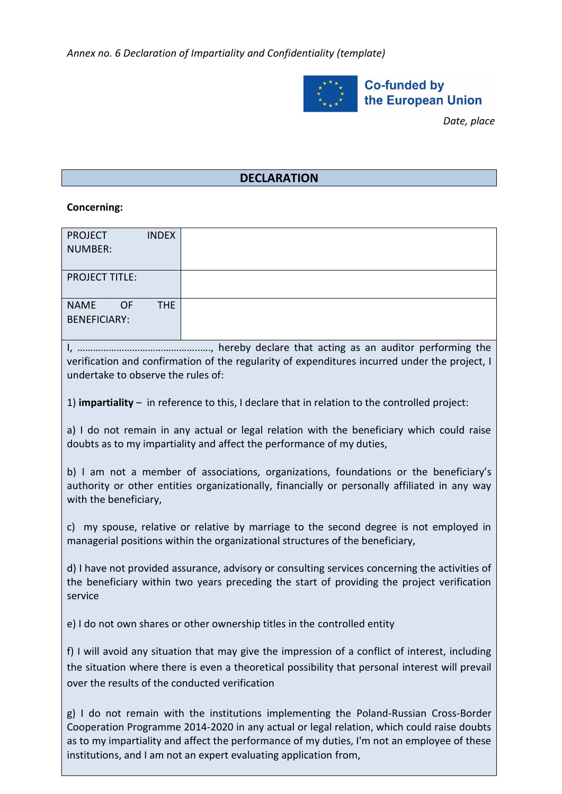*Annex no. 6 Declaration of Impartiality and Confidentiality (template)*



*Date, place*

## **DECLARATION**

## **Concerning:**

| <b>PROJECT</b><br><b>INDEX</b>                                                                  |  |
|-------------------------------------------------------------------------------------------------|--|
| <b>NUMBER:</b>                                                                                  |  |
|                                                                                                 |  |
|                                                                                                 |  |
| <b>PROJECT TITLE:</b>                                                                           |  |
|                                                                                                 |  |
| <b>OF</b><br><b>THE</b><br><b>NAME</b>                                                          |  |
| <b>BENEFICIARY:</b>                                                                             |  |
|                                                                                                 |  |
|                                                                                                 |  |
|                                                                                                 |  |
| verification and confirmation of the regularity of expenditures incurred under the project, I   |  |
| undertake to observe the rules of:                                                              |  |
|                                                                                                 |  |
| 1) impartiality $-$ in reference to this, I declare that in relation to the controlled project: |  |
|                                                                                                 |  |
|                                                                                                 |  |
| a) I do not remain in any actual or legal relation with the beneficiary which could raise       |  |
| doubts as to my impartiality and affect the performance of my duties,                           |  |
|                                                                                                 |  |
| b) I am not a member of associations, organizations, foundations or the beneficiary's           |  |
| authority or other entities organizationally, financially or personally affiliated in any way   |  |
|                                                                                                 |  |
| with the beneficiary,                                                                           |  |
|                                                                                                 |  |
| c) my spouse, relative or relative by marriage to the second degree is not employed in          |  |
| managerial positions within the organizational structures of the beneficiary,                   |  |
|                                                                                                 |  |
| d) I have not provided assurance, advisory or consulting services concerning the activities of  |  |
|                                                                                                 |  |
| the beneficiary within two years preceding the start of providing the project verification      |  |
| service                                                                                         |  |
|                                                                                                 |  |
| e) I do not own shares or other ownership titles in the controlled entity                       |  |
|                                                                                                 |  |
|                                                                                                 |  |
| f) I will avoid any situation that may give the impression of a conflict of interest, including |  |
| the situation where there is even a theoretical possibility that personal interest will prevail |  |
| over the results of the conducted verification                                                  |  |
|                                                                                                 |  |
|                                                                                                 |  |
| g) I do not remain with the institutions implementing the Poland-Russian Cross-Border           |  |
| Cooperation Programme 2014-2020 in any actual or legal relation, which could raise doubts       |  |
| as to my impartiality and affect the performance of my duties, I'm not an employee of these     |  |

institutions, and I am not an expert evaluating application from,